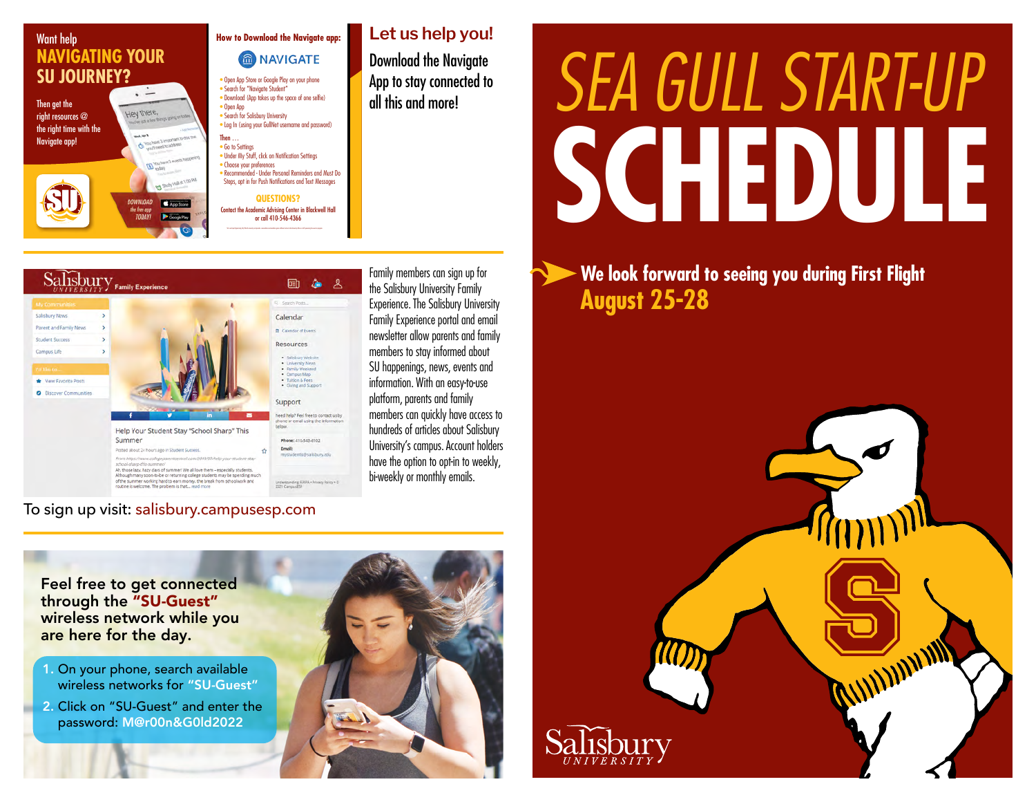

### **Let us help you! How to Download the Navigate app:** MAVIGATE Download the Navigate

• Open App Store or Google Play on your phone • Download (App takes up the space of one selfie) • Log In (using your GullNet username and password) • Under My Stuff, click on Notification Settings

• Recommended - Under Personal Reminders and Must Do Steps, opt in for Push Notifications and Text Messages

Contact the Academic Advising Center in Blackwell Hall or call 410-546-4366



To sign up visit: [salisbury.campusesp.com](https://salisbury.campusesp.com/users/sign_in)

Family members can sign up for the Salisbury University Family Experience. The Salisbury University Family Experience portal and email newsletter allow parents and family members to stay informed about SU happenings, news, events and information. With an easy-to-use platform, parents and family members can quickly have access to hundreds of articles about Salisbury University's campus. Account holders have the option to opt-in to weekly, bi-weekly or monthly emails.

App to stay connected to

# *SEA GULL START-UP*  **SCHEDULE**

**We look forward to seeing you during First Flight August 25-28**



Feel free to get connected through the "SU-Guest" wireless network while you are here for the day.

- 1. On your phone, search available wireless networks for "SU-Guest"
- 2. Click on "SU-Guest" and enter the password: M@r00n&G0ld2022